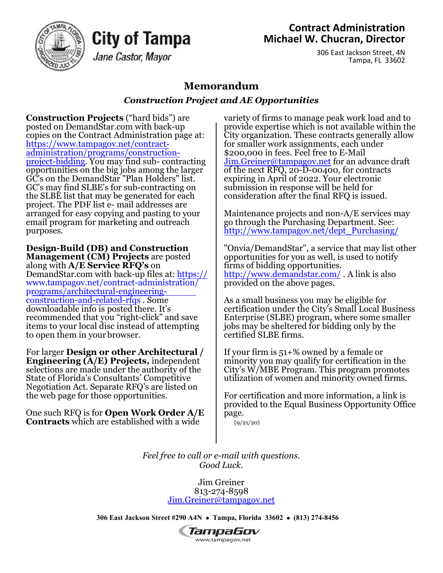

## **Contract Administration Michael W. Chucran, Director**

306 East Jackson Street, 4N Tampa, FL 33602

## **Memorandum**

## *Construction Project and AE Opportunities*

**Construction Projects** ("hard bids") are posted on DemandStar.com with back-up copies on the Contract Administration page at: http[s://www.tampagov.net/contract](http://www.tampagov.net/contract-)administration/programs/constructionproject-bidding. You may find sub- contracting opportunities on the big jobs among the larger GC's on the DemandStar "Plan Holders" list. GC's may find SLBE's for sub-contracting on the SLBE list that may be generated for each project. The PDF list e- mail addresses are arranged for easy copying and pasting to your email program for marketing and outreach purposes.

City of Tampa

Jane Castor, Mayor

**Design-Build (DB) and Construction Management (CM) Projects** are posted along with **A/E Service RFQ's** on DemandStar.com with back-up files at: https:// www.tampagov.net/contract-administration/ [programs/architectural-engineering](http://www.tampagov.net/contract-administration/)construction-and-related-rfqs . Some downloadable info is posted there. It's recommended that you "right-click" and save items to your local disc instead of attempting to open them in your browser.

For larger **Design or other Architectural / Engineering (A/E) Projects,** independent selections are made under the authority of the State of Florida's Consultants' Competitive Negotiation Act. Separate RFQ's are listed on the web page for those opportunities.

One such RFQ is for **Open Work Order A/E Contracts** which are established with a wide

variety of firms to manage peak work load and to provide expertise which is not available within the City organization. These contracts generally allow for smaller work assignments, each under \$200,000 in fees. Feel free to E-Mail [Jim.Greiner@tampagov.net](mailto:Jim.Greiner@tampagov.net) for an advance draft of the next RFQ, 20-D-00400, for contracts expiring in April of 2022. Your electronic submission in response will be held for consideration after the final RFQ is issued.

Maintenance projects and non-A/E services may go through the Purchasing Department. See: [http://www.tampagov.net/dept\\_Purchasing/](http://www.tampagov.net/dept_Purchasing/)

"Onvia/DemandStar", a service that may list other opportunities for you as well, is used to notify firms of bidding opportunities. [http://www.demandstar.com/ .](http://www.demandstar.com/) A link is also provided on the above pages.

As a small business you may be eligible for certification under the City's Small Local Business Enterprise (SLBE) program, where some smaller jobs may be sheltered for bidding only by the certified SLBE firms.

If your firm is 51+% owned by a female or minority you may qualify for certification in the City's W/MBE Program. This program promotes utilization of women and minority owned firms.

For certification and more information, a link is provided to the Equal Business Opportunity Office page.

(9/21/[20](http://www.tampagov.net/minority-business-))

*Feel free to call or e-mail with questions. Good Luck.*

> Jim Greiner 813-274-8598 [Jim.Greiner@tampagov.net](mailto:Jim.Greiner@tampagov.net)

**306 East Jackson Street #290 A4N** • **Tampa, Florida 33602** • **(813) 274-8456**